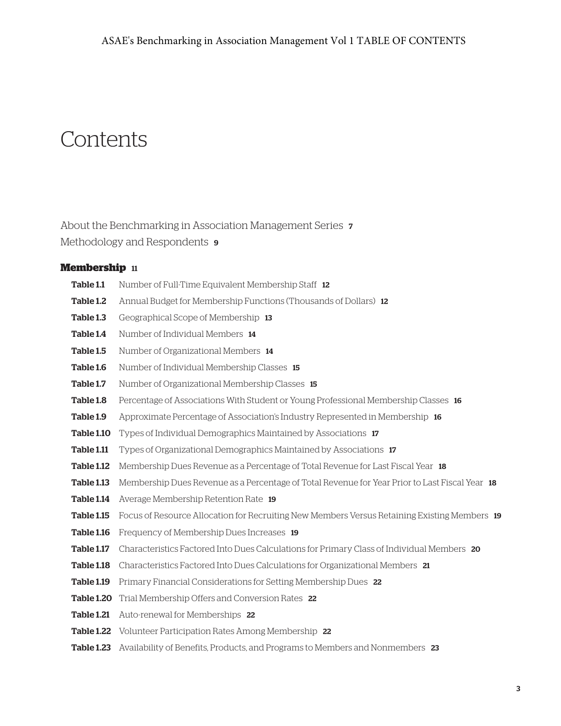# **Contents**

About the Benchmarking in Association Management Series 7 Methodology and Respondents  $\cdot$ 

### **Membership** 11

Table 1.1 Number of Full-Time Equivalent Membership Staff 12 Table 1.2 Annual Budget for Membership Functions (Thousands of Dollars) 12 Table 1.3 Geographical Scope of Membership 13 Table 1.4 Number of Individual Members 14 Table 1.5 Number of Organizational Members 14 Table 1.6 Number of Individual Membership Classes 15 Table 1.7 Number of Organizational Membership Classes 15 Table 1.8 Percentage of Associations With Student or Young Professional Membership Classes 16 Table 1.9 Approximate Percentage of Association's Industry Represented in Membership 16 Table 1.10 Types of Individual Demographics Maintained by Associations 17 **Table 1.11** Types of Organizational Demographics Maintained by Associations 17 Table 1.12 Membership Dues Revenue as a Percentage of Total Revenue for Last Fiscal Year 18 Table 1.13 Membership Dues Revenue as a Percentage of Total Revenue for Year Prior to Last Fiscal Year 18 Table 1.14 Average Membership Retention Rate 19 Table 1.15 Focus of Resource Allocation for Recruiting New Members Versus Retaining Existing Members 19 Table 1.16 Frequency of Membership Dues Increases 19 Table 1.17 Characteristics Factored Into Dues Calculations for Primary Class of Individual Members 20 Table 1.18 Characteristics Factored Into Dues Calculations for Organizational Members 21 Table 1.19 Primary Financial Considerations for Setting Membership Dues 22 Table 1.20 Trial Membership Offers and Conversion Rates 22 Table 1.21 Auto-renewal for Memberships 22 Table 1.22 Volunteer Participation Rates Among Membership 22 Table 1.23 Availability of Benefits, Products, and Programs to Members and Nonmembers 23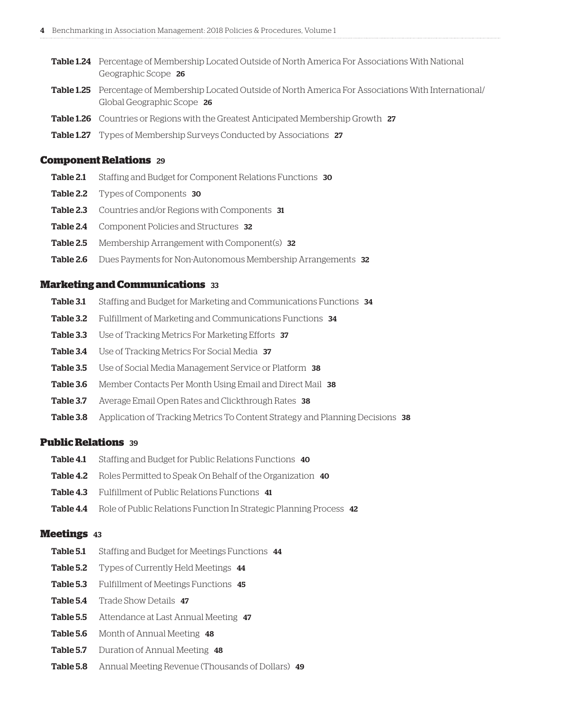- Table 1.24 Percentage of Membership Located Outside of North America For Associations With National Geographic Scope 26
- Table 1.25 Percentage of Membership Located Outside of North America For Associations With International/ Global Geographic Scope 26
- Table 1.26 Countries or Regions with the Greatest Anticipated Membership Growth 27
- Table 1.27 Types of Membership Surveys Conducted by Associations 27

#### **Component Relations** 29

- Table 2.1 Staffing and Budget for Component Relations Functions 30
- Table 2.2 Types of Components 30
- Table 2.3 Countries and/or Regions with Components 31
- Table 2.4 Component Policies and Structures 32
- Table 2.5 Membership Arrangement with Component(s) 32
- Table 2.6 Dues Payments for Non-Autonomous Membership Arrangements 32

#### **Marketing and Communications** 33

- Table 3.1 Staffing and Budget for Marketing and Communications Functions 34
- Table 3.2 Fulfillment of Marketing and Communications Functions 34
- Table 3.3 Use of Tracking Metrics For Marketing Efforts 37
- Table 3.4 Use of Tracking Metrics For Social Media 37
- Table 3.5 Use of Social Media Management Service or Platform 38
- Table 3.6 Member Contacts Per Month Using Email and Direct Mail 38
- Table 3.7 Average Email Open Rates and Clickthrough Rates 38
- Table 3.8 Application of Tracking Metrics To Content Strategy and Planning Decisions 38

#### **Public Relations** 39

- Table 4.1 Staffing and Budget for Public Relations Functions 40
- Table 4.2 Roles Permitted to Speak On Behalf of the Organization 40
- Table 4.3 Fulfillment of Public Relations Functions 41
- Table 4.4 Role of Public Relations Function In Strategic Planning Process 42

#### **Meetings** 43

- Table 5.1 Staffing and Budget for Meetings Functions 44
- Table 5.2 Types of Currently Held Meetings 44
- Table 5.3 Fulfillment of Meetings Functions 45
- Table 5.4 Trade Show Details 47
- Table 5.5 Attendance at Last Annual Meeting 47
- Table 5.6 Month of Annual Meeting 48
- Table 5.7 Duration of Annual Meeting 48
- Table 5.8 Annual Meeting Revenue (Thousands of Dollars) 49